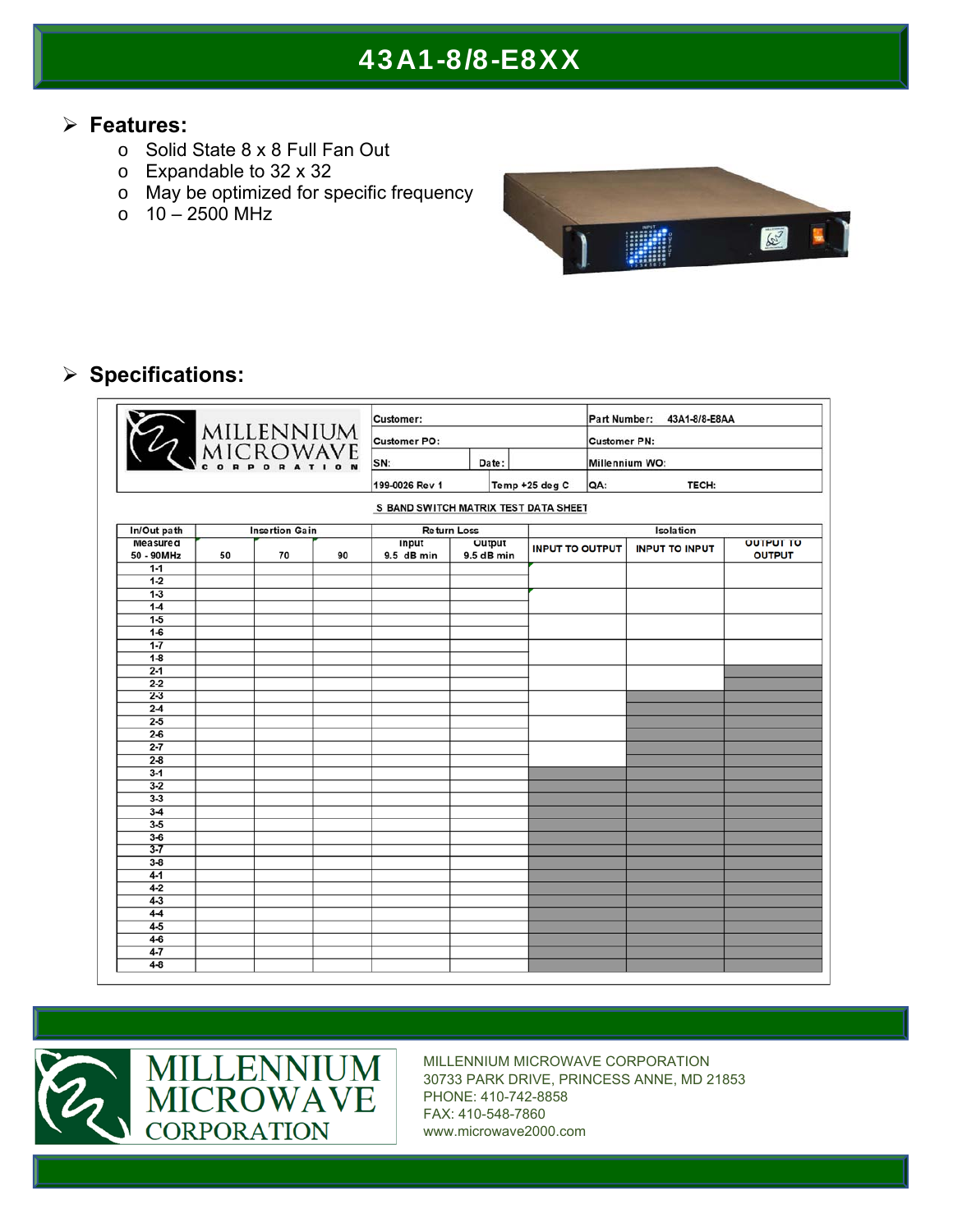#### **Features:**

- o Solid State 8 x 8 Full Fan Out
- o Expandable to 32 x 32
- o May be optimized for specific frequency
- $\circ$  10 2500 MHz



### **Specifications:**

|                 |    |                       |    | <b>Customer:</b>                     |            |                        | 43A1-8/8-E8AA<br><b>Part Number:</b> |                       |                  |  |
|-----------------|----|-----------------------|----|--------------------------------------|------------|------------------------|--------------------------------------|-----------------------|------------------|--|
|                 |    |                       |    | Customer PO:                         |            |                        | <b>Customer PN:</b>                  |                       |                  |  |
| 2 MILLENNIUM    |    |                       |    | SN:                                  |            | Millennium WO:         |                                      |                       |                  |  |
|                 |    |                       |    | 199-0026 Rev 1                       |            | Temp +25 deg C         | QA:                                  | TECH:                 |                  |  |
|                 |    |                       |    | S BAND SWITCH MATRIX TEST DATA SHEET |            |                        |                                      |                       |                  |  |
| In/Out path     |    | <b>Insertion Gain</b> |    | <b>Return Loss</b>                   |            |                        |                                      | Isolation             |                  |  |
| <b>Measured</b> |    |                       |    | Input                                | Output     |                        |                                      |                       | <b>OUTPUT TO</b> |  |
| 50 - 90MHz      | 50 | 70                    | 90 | 9.5 dB min                           | 9.5 dB min | <b>INPUT TO OUTPUT</b> |                                      | <b>INPUT TO INPUT</b> | <b>OUTPUT</b>    |  |
| $1 - 1$         |    |                       |    |                                      |            |                        |                                      |                       |                  |  |
| $1 - 2$         |    |                       |    |                                      |            |                        |                                      |                       |                  |  |
| $1-3$           |    |                       |    |                                      |            |                        |                                      |                       |                  |  |
| $1-4$           |    |                       |    |                                      |            |                        |                                      |                       |                  |  |
| $1-5$           |    |                       |    |                                      |            |                        |                                      |                       |                  |  |
| $1-6$           |    |                       |    |                                      |            |                        |                                      |                       |                  |  |
| $1 - 7$         |    |                       |    |                                      |            |                        |                                      |                       |                  |  |
| $1-8$           |    |                       |    |                                      |            |                        |                                      |                       |                  |  |
| $2 - 1$         |    |                       |    |                                      |            |                        |                                      |                       |                  |  |
| $2 - 2$         |    |                       |    |                                      |            |                        |                                      |                       |                  |  |
| $2 - 3$         |    |                       |    |                                      |            |                        |                                      |                       |                  |  |
| $2-4$           |    |                       |    |                                      |            |                        |                                      |                       |                  |  |
| $2 - 5$         |    |                       |    |                                      |            |                        |                                      |                       |                  |  |
| $2 - 6$         |    |                       |    |                                      |            |                        |                                      |                       |                  |  |
| $2 - 7$         |    |                       |    |                                      |            |                        |                                      |                       |                  |  |
| $2 - 8$         |    |                       |    |                                      |            |                        |                                      |                       |                  |  |
| $3 - 1$         |    |                       |    |                                      |            |                        |                                      |                       |                  |  |
| $3 - 2$         |    |                       |    |                                      |            |                        |                                      |                       |                  |  |
| $3 - 3$         |    |                       |    |                                      |            |                        |                                      |                       |                  |  |
| $3-4$           |    |                       |    |                                      |            |                        |                                      |                       |                  |  |
| $3 - 5$         |    |                       |    |                                      |            |                        |                                      |                       |                  |  |
| $3 - 6$         |    |                       |    |                                      |            |                        |                                      |                       |                  |  |
| $3 - 7$         |    |                       |    |                                      |            |                        |                                      |                       |                  |  |
| $3 - 8$         |    |                       |    |                                      |            |                        |                                      |                       |                  |  |
| $4 - 1$         |    |                       |    |                                      |            |                        |                                      |                       |                  |  |
| $4 - 2$         |    |                       |    |                                      |            |                        |                                      |                       |                  |  |
| $4 - 3$         |    |                       |    |                                      |            |                        |                                      |                       |                  |  |
| $4-4$           |    |                       |    |                                      |            |                        |                                      |                       |                  |  |
| $4-5$           |    |                       |    |                                      |            |                        |                                      |                       |                  |  |
| $4-6$           |    |                       |    |                                      |            |                        |                                      |                       |                  |  |
| $4 - 7$         |    |                       |    |                                      |            |                        |                                      |                       |                  |  |
| $4 - 8$         |    |                       |    |                                      |            |                        |                                      |                       |                  |  |

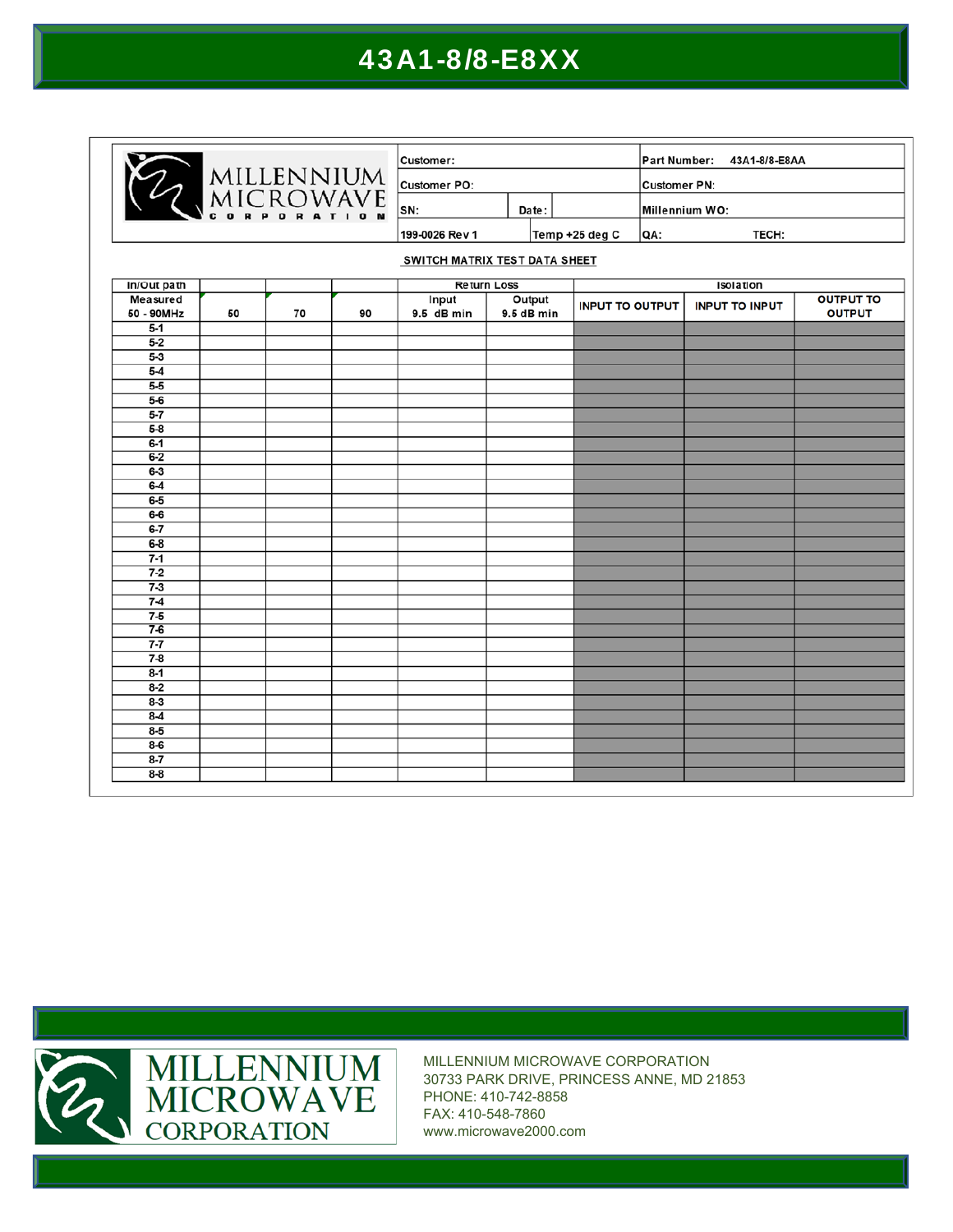| MILLENNIUM<br>MICROWAVE |    |    | Customer:    |                               |              |  | Part Number:<br>43A1-8/8-E8AA |     |                       |                  |
|-------------------------|----|----|--------------|-------------------------------|--------------|--|-------------------------------|-----|-----------------------|------------------|
|                         |    |    | Customer PO: |                               |              |  | Customer PN:                  |     |                       |                  |
|                         |    |    |              |                               | SN:<br>Date: |  |                               |     | Millennium WO:        |                  |
|                         |    |    |              | 199-0026 Rev 1                |              |  | Temp +25 deg C                | QA: | TECH:                 |                  |
|                         |    |    |              | SWITCH MATRIX TEST DATA SHEET |              |  |                               |     |                       |                  |
| In/Out path             |    |    |              | <b>Return Loss</b>            |              |  |                               |     | Isolation             |                  |
| Measured                |    |    |              | Input                         | Output       |  |                               |     |                       | <b>OUTPUT TO</b> |
| 50 - 90MHz              | 50 | 70 | 90           | 9.5 dB min                    | 9.5 dB min   |  | <b>INPUT TO OUTPUT</b>        |     | <b>INPUT TO INPUT</b> | <b>OUTPUT</b>    |
| $5-1$                   |    |    |              |                               |              |  |                               |     |                       |                  |
| $5 - 2$                 |    |    |              |                               |              |  |                               |     |                       |                  |
| $5-3$                   |    |    |              |                               |              |  |                               |     |                       |                  |
| $5 - 4$                 |    |    |              |                               |              |  |                               |     |                       |                  |
| $5 - 5$                 |    |    |              |                               |              |  |                               |     |                       |                  |
| $5-6$                   |    |    |              |                               |              |  |                               |     |                       |                  |
| $5 - 7$                 |    |    |              |                               |              |  |                               |     |                       |                  |
| $5 - 8$                 |    |    |              |                               |              |  |                               |     |                       |                  |
| $6-1$                   |    |    |              |                               |              |  |                               |     |                       |                  |
| $6-2$                   |    |    |              |                               |              |  |                               |     |                       |                  |
| $6-3$                   |    |    |              |                               |              |  |                               |     |                       |                  |
| $6-4$                   |    |    |              |                               |              |  |                               |     |                       |                  |
| $6-5$                   |    |    |              |                               |              |  |                               |     |                       |                  |
| $6-6$                   |    |    |              |                               |              |  |                               |     |                       |                  |
| $6 - 7$                 |    |    |              |                               |              |  |                               |     |                       |                  |
| $6 - 8$                 |    |    |              |                               |              |  |                               |     |                       |                  |
| $7 - 1$                 |    |    |              |                               |              |  |                               |     |                       |                  |
| $7-2$                   |    |    |              |                               |              |  |                               |     |                       |                  |
| $7 - 3$                 |    |    |              |                               |              |  |                               |     |                       |                  |
| $7-4$                   |    |    |              |                               |              |  |                               |     |                       |                  |
| $7 - 5$                 |    |    |              |                               |              |  |                               |     |                       |                  |
| $7-6$                   |    |    |              |                               |              |  |                               |     |                       |                  |
| $7 - 7$                 |    |    |              |                               |              |  |                               |     |                       |                  |
| $7 - 8$                 |    |    |              |                               |              |  |                               |     |                       |                  |
| $8 - 1$                 |    |    |              |                               |              |  |                               |     |                       |                  |
| $8 - 2$                 |    |    |              |                               |              |  |                               |     |                       |                  |
| $8-3$                   |    |    |              |                               |              |  |                               |     |                       |                  |
| $8-4$                   |    |    |              |                               |              |  |                               |     |                       |                  |
| $8 - 5$                 |    |    |              |                               |              |  |                               |     |                       |                  |
| $8 - 6$                 |    |    |              |                               |              |  |                               |     |                       |                  |
| $8 - 7$                 |    |    |              |                               |              |  |                               |     |                       |                  |
| $8 - 8$                 |    |    |              |                               |              |  |                               |     |                       |                  |

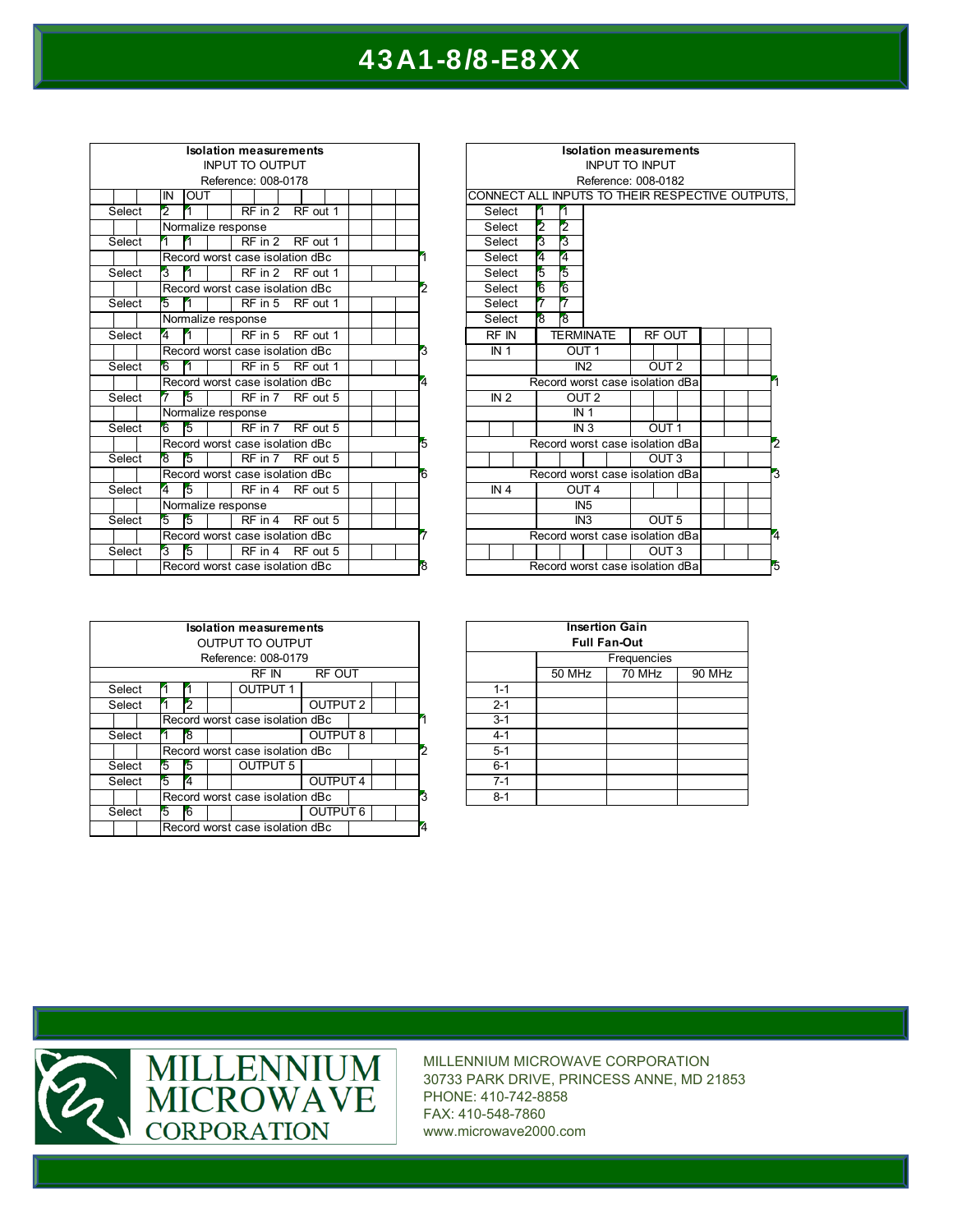| <b>Isolation measurements</b> |                |                                 |  |  |                                                   |  |                                      |  |  |  |        |                | k                      |  |                 |                |
|-------------------------------|----------------|---------------------------------|--|--|---------------------------------------------------|--|--------------------------------------|--|--|--|--------|----------------|------------------------|--|-----------------|----------------|
|                               |                |                                 |  |  | <b>INPUT TO OUTPUT</b>                            |  |                                      |  |  |  |        |                |                        |  |                 |                |
|                               |                |                                 |  |  | Reference: 008-0178                               |  |                                      |  |  |  |        |                |                        |  |                 |                |
|                               | IN             | <b>OUT</b>                      |  |  |                                                   |  |                                      |  |  |  |        |                | <b>CONNECT ALL INF</b> |  |                 |                |
| Select                        | $\overline{2}$ | 4                               |  |  | $RF$ in 2                                         |  | RF out 1                             |  |  |  |        |                | Select                 |  | 4               | и              |
|                               |                | Normalize response              |  |  |                                                   |  |                                      |  |  |  |        |                | Select                 |  | $\overline{2}$  | $\frac{2}{3}$  |
| Select                        | 1              | 4                               |  |  | RF in 2 RF out 1                                  |  |                                      |  |  |  |        |                | Select                 |  | $\overline{3}$  |                |
|                               |                | Record worst case isolation dBc |  |  |                                                   |  |                                      |  |  |  |        |                | Select                 |  | $\overline{4}$  | 4              |
| Select                        | 3              | 4                               |  |  | RF in 2                                           |  | RF out 1                             |  |  |  |        |                | Select                 |  | $\overline{5}$  |                |
|                               |                | Record worst case isolation dBc |  |  |                                                   |  |                                      |  |  |  |        | $\overline{2}$ | Select                 |  | $6\overline{6}$ | 567            |
| Select                        | $\overline{5}$ | 4                               |  |  | $RF$ in 5                                         |  | RF out 1                             |  |  |  |        |                | Select                 |  | $\overline{7}$  |                |
|                               |                | Normalize response              |  |  |                                                   |  |                                      |  |  |  |        |                | Select                 |  | $\overline{8}$  | $\overline{8}$ |
| Select                        | 4              | 4                               |  |  | $RF$ in 5                                         |  | RF out 1                             |  |  |  |        |                | $RF$ IN                |  |                 | TEF            |
|                               |                | Record worst case isolation dBc |  |  |                                                   |  |                                      |  |  |  |        | 3              | IN <sub>1</sub>        |  |                 |                |
| Select                        | 6              | 4                               |  |  | RF in 5                                           |  | RF out 1                             |  |  |  |        |                |                        |  |                 |                |
|                               |                |                                 |  |  | Record worst case isolation dBc<br>$\overline{4}$ |  |                                      |  |  |  | Record |                |                        |  |                 |                |
| Select                        |                | $\overline{5}$                  |  |  | RF in 7                                           |  | RF out 5                             |  |  |  |        |                | IN <sub>2</sub>        |  |                 |                |
|                               |                | Normalize response              |  |  |                                                   |  |                                      |  |  |  |        |                |                        |  |                 |                |
| Select                        | 6              | 5                               |  |  | RF in 7 RF out 5                                  |  |                                      |  |  |  |        |                |                        |  |                 |                |
|                               |                | Record worst case isolation dBc |  |  |                                                   |  |                                      |  |  |  |        | $\overline{5}$ |                        |  | Record          |                |
| Select                        | $\overline{8}$ | $\overline{5}$                  |  |  | RF in 7                                           |  | RF out 5                             |  |  |  |        |                |                        |  |                 |                |
|                               |                | Record worst case isolation dBc |  |  |                                                   |  |                                      |  |  |  |        | 6              |                        |  | Record          |                |
| Select                        | $\overline{4}$ | $\overline{5}$                  |  |  | RF in 4                                           |  | RF out 5                             |  |  |  |        |                | IN <sub>4</sub>        |  |                 |                |
|                               |                | Normalize response              |  |  |                                                   |  |                                      |  |  |  |        |                |                        |  |                 |                |
| Select                        | $\overline{5}$ | $\overline{5}$                  |  |  | $RF$ in $4$                                       |  | RF out 5                             |  |  |  |        |                |                        |  |                 |                |
|                               |                |                                 |  |  |                                                   |  | 7<br>Record worst case isolation dBc |  |  |  |        |                | Record                 |  |                 |                |
| Select                        | 3              | $\overline{5}$                  |  |  | RF in 4                                           |  | RF out 5                             |  |  |  |        |                |                        |  |                 |                |
|                               |                | Record worst case isolation dBc |  |  |                                                   |  |                                      |  |  |  |        | $\overline{8}$ |                        |  | Record          |                |

|                | <b>Isolation measurements</b>                   |  |                  |                                 |                  |  |                  |                  |  |  |   |   |   |
|----------------|-------------------------------------------------|--|------------------|---------------------------------|------------------|--|------------------|------------------|--|--|---|---|---|
|                | <b>INPUT TO INPUT</b>                           |  |                  |                                 |                  |  |                  |                  |  |  |   |   |   |
|                | Reference: 008-0182                             |  |                  |                                 |                  |  |                  |                  |  |  |   |   |   |
|                | CONNECT ALL INPUTS TO THEIR RESPECTIVE OUTPUTS, |  |                  |                                 |                  |  |                  |                  |  |  |   |   |   |
|                | Select                                          |  | 1<br>1           |                                 |                  |  |                  |                  |  |  |   |   |   |
|                | Select                                          |  | $\overline{2}$   | $\overline{2}$                  |                  |  |                  |                  |  |  |   |   |   |
|                | Select                                          |  | 3                | 3                               |                  |  |                  |                  |  |  |   |   |   |
| 1              | Select                                          |  | 4                | 4                               |                  |  |                  |                  |  |  |   |   |   |
|                | Select                                          |  | $\overline{5}$   | $\overline{5}$                  |                  |  |                  |                  |  |  |   |   |   |
| $\overline{2}$ | Select                                          |  | $\overline{6}$   | $\overline{6}$                  |                  |  |                  |                  |  |  |   |   |   |
|                | Select                                          |  | 7                | 7                               |                  |  |                  |                  |  |  |   |   |   |
|                | Select                                          |  | $\overline{8}$   | $\overline{8}$                  |                  |  |                  |                  |  |  |   |   |   |
|                | $RF$ IN                                         |  | <b>TERMINATE</b> |                                 |                  |  |                  | <b>RF OUT</b>    |  |  |   |   |   |
| 3              | IN <sub>1</sub>                                 |  | OUT <sub>1</sub> |                                 |                  |  |                  |                  |  |  |   |   |   |
|                |                                                 |  |                  | IN <sub>2</sub>                 |                  |  | OUT <sub>2</sub> |                  |  |  |   |   |   |
| 4              | Record worst case isolation dBa                 |  |                  |                                 |                  |  |                  |                  |  |  |   |   |   |
|                | IN <sub>2</sub>                                 |  |                  | OUT <sub>2</sub>                |                  |  |                  |                  |  |  |   |   |   |
|                |                                                 |  | IN <sub>1</sub>  |                                 |                  |  |                  |                  |  |  |   |   |   |
|                |                                                 |  | IN <sub>3</sub>  |                                 |                  |  |                  | OUT <sub>1</sub> |  |  |   |   |   |
| 5              |                                                 |  |                  | Record worst case isolation dBa |                  |  |                  |                  |  |  |   |   | 2 |
|                |                                                 |  |                  |                                 |                  |  | OUT <sub>3</sub> |                  |  |  |   |   |   |
| ĥ              | Record worst case isolation dBa                 |  |                  |                                 |                  |  |                  |                  |  |  | 3 |   |   |
|                | IN <sub>4</sub>                                 |  |                  |                                 | OUT <sub>4</sub> |  |                  |                  |  |  |   |   |   |
|                |                                                 |  |                  |                                 | IN <sub>5</sub>  |  |                  |                  |  |  |   |   |   |
|                |                                                 |  |                  |                                 | IN <sub>3</sub>  |  | OUT <sub>5</sub> |                  |  |  |   |   |   |
| 5              | Record worst case isolation dBa                 |  |                  |                                 |                  |  |                  |                  |  |  |   | 4 |   |
|                |                                                 |  |                  |                                 |                  |  |                  | OUT <sub>3</sub> |  |  |   |   |   |
| ġ              |                                                 |  |                  | Record worst case isolation dBa |                  |  |                  |                  |  |  |   |   | 5 |
|                |                                                 |  |                  |                                 |                  |  |                  |                  |  |  |   |   |   |

|        | <b>Isolation measurements</b>   |  |   |  |                  |                 |      |  |                |  |  |
|--------|---------------------------------|--|---|--|------------------|-----------------|------|--|----------------|--|--|
|        |                                 |  |   |  | OUTPUT TO OUTPUT |                 |      |  |                |  |  |
|        | Reference: 008-0179             |  |   |  |                  |                 |      |  |                |  |  |
|        | RF OUT<br>RF IN                 |  |   |  |                  |                 |      |  |                |  |  |
| Select |                                 |  |   |  | <b>OUTPUT 1</b>  |                 |      |  |                |  |  |
| Select |                                 |  |   |  |                  | <b>OUTPUT 2</b> |      |  |                |  |  |
|        | Record worst case isolation dBc |  |   |  |                  |                 |      |  |                |  |  |
| Select |                                 |  | 8 |  |                  | OUTPUT 8        |      |  |                |  |  |
|        | Record worst case isolation dBc |  |   |  |                  |                 |      |  | $\overline{2}$ |  |  |
|        | Select<br>5                     |  | 5 |  | OUTPUT 5         |                 |      |  |                |  |  |
|        | 5<br>Select                     |  | 4 |  |                  | <b>OUTPUT4</b>  |      |  |                |  |  |
|        | Record worst case isolation dBc |  |   |  |                  |                 |      |  | 3              |  |  |
| Select |                                 |  |   |  |                  |                 | UT 6 |  |                |  |  |
|        | Record worst case isolation dBc |  |   |  |                  |                 |      |  | $\overline{4}$ |  |  |

| <b>Insertion Gain</b> |        |             |        |  |  |  |  |  |  |  |
|-----------------------|--------|-------------|--------|--|--|--|--|--|--|--|
| <b>Full Fan-Out</b>   |        |             |        |  |  |  |  |  |  |  |
|                       |        | Frequencies |        |  |  |  |  |  |  |  |
|                       | 50 MHz | 70 MHz      | 90 MHz |  |  |  |  |  |  |  |
| $1 - 1$               |        |             |        |  |  |  |  |  |  |  |
| $2 - 1$               |        |             |        |  |  |  |  |  |  |  |
| $3-1$                 |        |             |        |  |  |  |  |  |  |  |
| $4 - 1$               |        |             |        |  |  |  |  |  |  |  |
| $5-1$                 |        |             |        |  |  |  |  |  |  |  |
| $6 - 1$               |        |             |        |  |  |  |  |  |  |  |
| $7 - 1$               |        |             |        |  |  |  |  |  |  |  |
| $8 - 1$               |        |             |        |  |  |  |  |  |  |  |